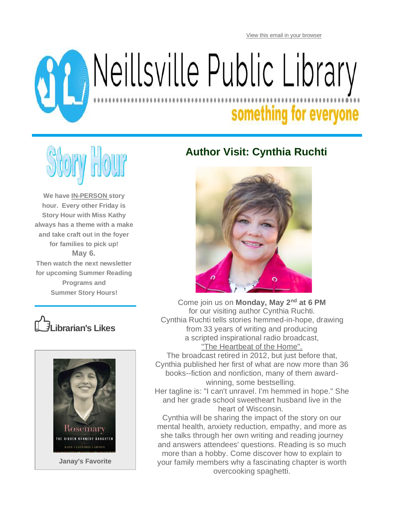[View this email in your browser](https://mailchi.mp/209b7cac7639/1fbawdsb3u-11479058?e=05956643bd)



# Reillsville Public Library

## something for everyone



**We have IN-PERSON story hour. Every other Friday is Story Hour with Miss Kathy always has a theme with a make and take craft out in the foyer for families to pick up! May 6. Then watch the next newsletter for upcoming Summer Reading Programs and Summer Story Hours!**





#### **Author Visit: Cynthia Ruchti**



Come join us on **Monday, May 2nd at 6 PM** for our visiting author Cynthia Ruchti. Cynthia Ruchti tells stories hemmed-in-hope, drawing from 33 years of writing and producing a scripted inspirational radio broadcast, "The Heartbeat of the Home".

The broadcast retired in 2012, but just before that, Cynthia published her first of what are now more than 36 books--fiction and nonfiction, many of them awardwinning, some bestselling.

Her tagline is: "I can't unravel. I'm hemmed in hope." She and her grade school sweetheart husband live in the heart of Wisconsin.

Cynthia will be sharing the impact of the story on our mental health, anxiety reduction, empathy, and more as she talks through her own writing and reading journey and answers attendees' questions. Reading is so much more than a hobby. Come discover how to explain to your family members why a fascinating chapter is worth overcooking spaghetti.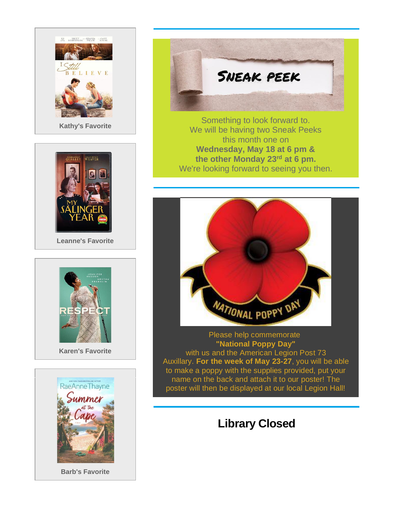



**Leanne's Favorite**





**Barb's Favorite**



Something to look forward to. We will be having two Sneak Peeks this month one on **Wednesday, May 18 at 6 pm & the other Monday 23rd at 6 pm.** We're looking forward to seeing you then.



Please help commemorate **"National Poppy Day"** with us and the American Legion Post 73 Auxillary. **For the week of May 23-27**, you will be able to make a poppy with the supplies provided, put your name on the back and attach it to our poster! The poster will then be displayed at our local Legion Hall!

#### **Library Closed**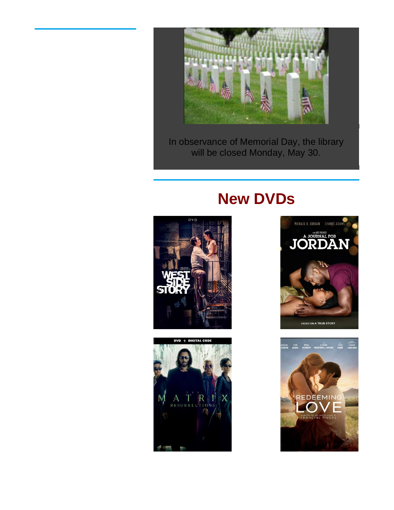

In observance of Memorial Day, the library will be closed Monday, May 30.

### **New DVDs**